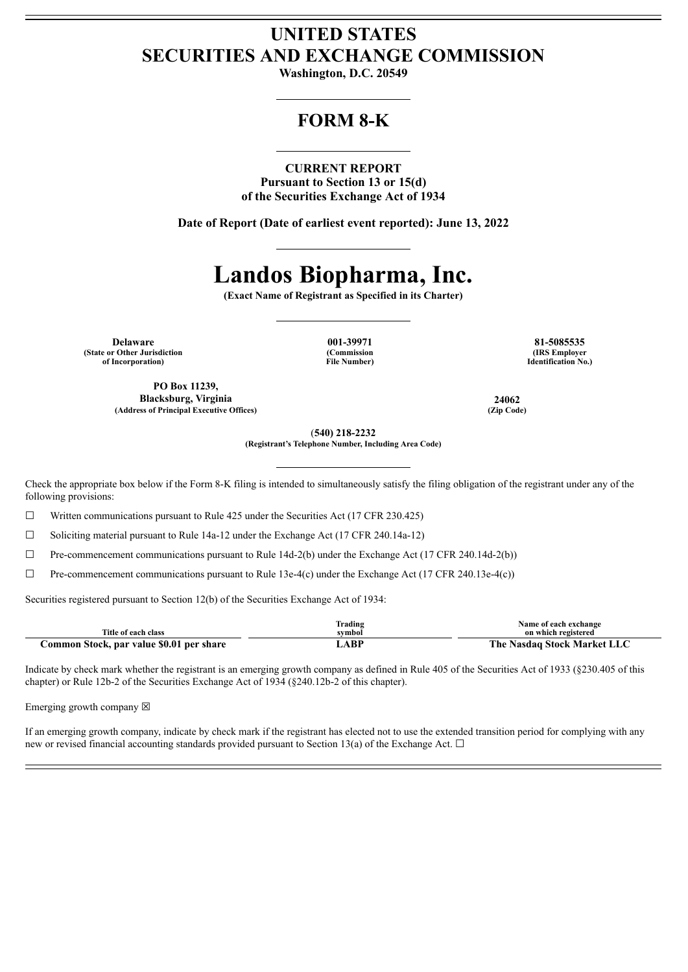## **UNITED STATES SECURITIES AND EXCHANGE COMMISSION**

**Washington, D.C. 20549**

## **FORM 8-K**

### **CURRENT REPORT**

**Pursuant to Section 13 or 15(d) of the Securities Exchange Act of 1934**

**Date of Report (Date of earliest event reported): June 13, 2022**

# **Landos Biopharma, Inc.**

**(Exact Name of Registrant as Specified in its Charter)**

**Delaware 001-39971 81-5085535 (State or Other Jurisdiction of Incorporation)**

**PO Box 11239, Blacksburg, Virginia 24062 (Address of Principal Executive Offices) (Zip Code)**

**(Commission File Number)**

**(IRS Employer Identification No.)**

(**540) 218-2232 (Registrant's Telephone Number, Including Area Code)**

Check the appropriate box below if the Form 8-K filing is intended to simultaneously satisfy the filing obligation of the registrant under any of the following provisions:

☐ Written communications pursuant to Rule 425 under the Securities Act (17 CFR 230.425)

☐ Soliciting material pursuant to Rule 14a-12 under the Exchange Act (17 CFR 240.14a-12)

☐ Pre-commencement communications pursuant to Rule 14d-2(b) under the Exchange Act (17 CFR 240.14d-2(b))

 $\Box$  Pre-commencement communications pursuant to Rule 13e-4(c) under the Exchange Act (17 CFR 240.13e-4(c))

Securities registered pursuant to Section 12(b) of the Securities Exchange Act of 1934:

|                                          | Trading | Name of each exchange          |
|------------------------------------------|---------|--------------------------------|
| Title of each class                      | svmbol  | on which registered            |
| Common Stock, par value \$0.01 per share | _ABF    | Nasdag Stock Market LLC<br>'ne |

Indicate by check mark whether the registrant is an emerging growth company as defined in Rule 405 of the Securities Act of 1933 (§230.405 of this chapter) or Rule 12b-2 of the Securities Exchange Act of 1934 (§240.12b-2 of this chapter).

Emerging growth company  $\boxtimes$ 

If an emerging growth company, indicate by check mark if the registrant has elected not to use the extended transition period for complying with any new or revised financial accounting standards provided pursuant to Section 13(a) of the Exchange Act.  $\Box$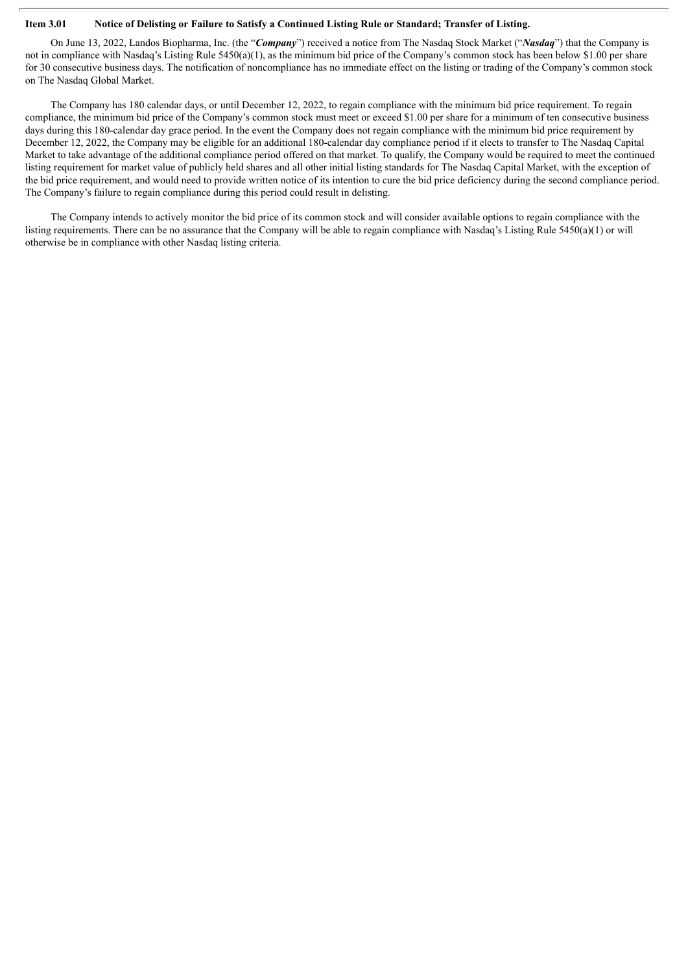### Item 3.01 Notice of Delisting or Failure to Satisfy a Continued Listing Rule or Standard; Transfer of Listing.

On June 13, 2022, Landos Biopharma, Inc. (the "*Company*") received a notice from The Nasdaq Stock Market ("*Nasdaq*") that the Company is not in compliance with Nasdaq's Listing Rule 5450(a)(1), as the minimum bid price of the Company's common stock has been below \$1.00 per share for 30 consecutive business days. The notification of noncompliance has no immediate effect on the listing or trading of the Company's common stock on The Nasdaq Global Market.

The Company has 180 calendar days, or until December 12, 2022, to regain compliance with the minimum bid price requirement. To regain compliance, the minimum bid price of the Company's common stock must meet or exceed \$1.00 per share for a minimum of ten consecutive business days during this 180-calendar day grace period. In the event the Company does not regain compliance with the minimum bid price requirement by December 12, 2022, the Company may be eligible for an additional 180-calendar day compliance period if it elects to transfer to The Nasdaq Capital Market to take advantage of the additional compliance period offered on that market. To qualify, the Company would be required to meet the continued listing requirement for market value of publicly held shares and all other initial listing standards for The Nasdaq Capital Market, with the exception of the bid price requirement, and would need to provide written notice of its intention to cure the bid price deficiency during the second compliance period. The Company's failure to regain compliance during this period could result in delisting.

The Company intends to actively monitor the bid price of its common stock and will consider available options to regain compliance with the listing requirements. There can be no assurance that the Company will be able to regain compliance with Nasdaq's Listing Rule 5450(a)(1) or will otherwise be in compliance with other Nasdaq listing criteria.